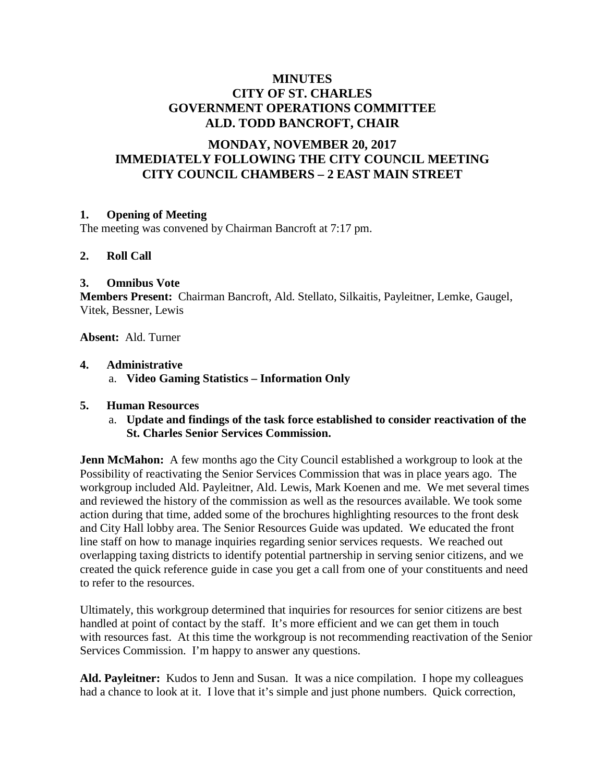# **MINUTES CITY OF ST. CHARLES GOVERNMENT OPERATIONS COMMITTEE ALD. TODD BANCROFT, CHAIR**

# **MONDAY, NOVEMBER 20, 2017 IMMEDIATELY FOLLOWING THE CITY COUNCIL MEETING CITY COUNCIL CHAMBERS – 2 EAST MAIN STREET**

### **1. Opening of Meeting**

The meeting was convened by Chairman Bancroft at 7:17 pm.

#### **2. Roll Call**

#### **3. Omnibus Vote**

**Members Present:** Chairman Bancroft, Ald. Stellato, Silkaitis, Payleitner, Lemke, Gaugel, Vitek, Bessner, Lewis

**Absent:** Ald. Turner

#### **4. Administrative**

a. **Video Gaming Statistics – Information Only**

#### **5. Human Resources**

a. **Update and findings of the task force established to consider reactivation of the St. Charles Senior Services Commission.**

**Jenn McMahon:** A few months ago the City Council established a workgroup to look at the Possibility of reactivating the Senior Services Commission that was in place years ago. The workgroup included Ald. Payleitner, Ald. Lewis, Mark Koenen and me. We met several times and reviewed the history of the commission as well as the resources available. We took some action during that time, added some of the brochures highlighting resources to the front desk and City Hall lobby area. The Senior Resources Guide was updated. We educated the front line staff on how to manage inquiries regarding senior services requests. We reached out overlapping taxing districts to identify potential partnership in serving senior citizens, and we created the quick reference guide in case you get a call from one of your constituents and need to refer to the resources.

Ultimately, this workgroup determined that inquiries for resources for senior citizens are best handled at point of contact by the staff. It's more efficient and we can get them in touch with resources fast. At this time the workgroup is not recommending reactivation of the Senior Services Commission. I'm happy to answer any questions.

**Ald. Payleitner:** Kudos to Jenn and Susan. It was a nice compilation. I hope my colleagues had a chance to look at it. I love that it's simple and just phone numbers. Quick correction,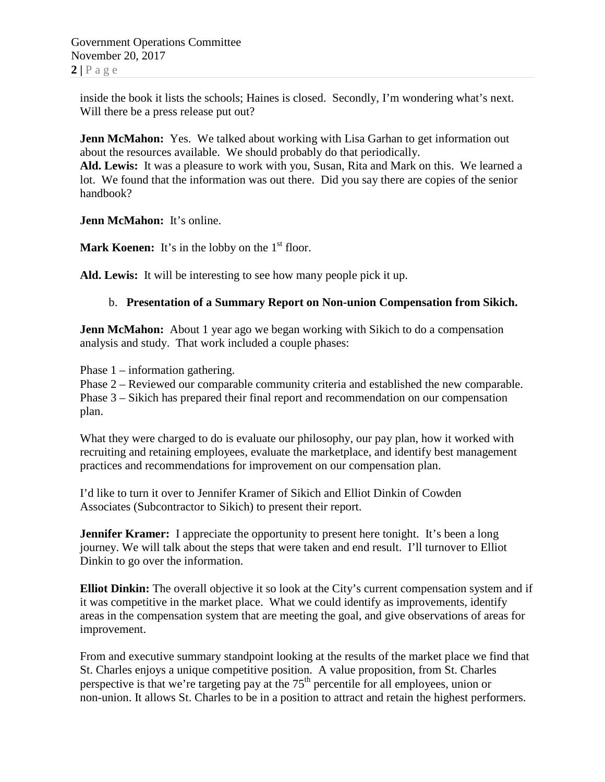inside the book it lists the schools; Haines is closed. Secondly, I'm wondering what's next. Will there be a press release put out?

**Jenn McMahon:** Yes. We talked about working with Lisa Garhan to get information out about the resources available. We should probably do that periodically.

**Ald. Lewis:** It was a pleasure to work with you, Susan, Rita and Mark on this. We learned a lot. We found that the information was out there. Did you say there are copies of the senior handbook?

**Jenn McMahon:** It's online.

**Mark Koenen:** It's in the lobby on the  $1<sup>st</sup>$  floor.

**Ald. Lewis:** It will be interesting to see how many people pick it up.

### b. **Presentation of a Summary Report on Non-union Compensation from Sikich.**

**Jenn McMahon:** About 1 year ago we began working with Sikich to do a compensation analysis and study. That work included a couple phases:

Phase 1 – information gathering.

Phase 2 – Reviewed our comparable community criteria and established the new comparable. Phase 3 – Sikich has prepared their final report and recommendation on our compensation plan.

What they were charged to do is evaluate our philosophy, our pay plan, how it worked with recruiting and retaining employees, evaluate the marketplace, and identify best management practices and recommendations for improvement on our compensation plan.

I'd like to turn it over to Jennifer Kramer of Sikich and Elliot Dinkin of Cowden Associates (Subcontractor to Sikich) to present their report.

**Jennifer Kramer:** I appreciate the opportunity to present here tonight. It's been a long journey. We will talk about the steps that were taken and end result. I'll turnover to Elliot Dinkin to go over the information.

**Elliot Dinkin:** The overall objective it so look at the City's current compensation system and if it was competitive in the market place. What we could identify as improvements, identify areas in the compensation system that are meeting the goal, and give observations of areas for improvement.

From and executive summary standpoint looking at the results of the market place we find that St. Charles enjoys a unique competitive position. A value proposition, from St. Charles perspective is that we're targeting pay at the 75<sup>th</sup> percentile for all employees, union or non-union. It allows St. Charles to be in a position to attract and retain the highest performers.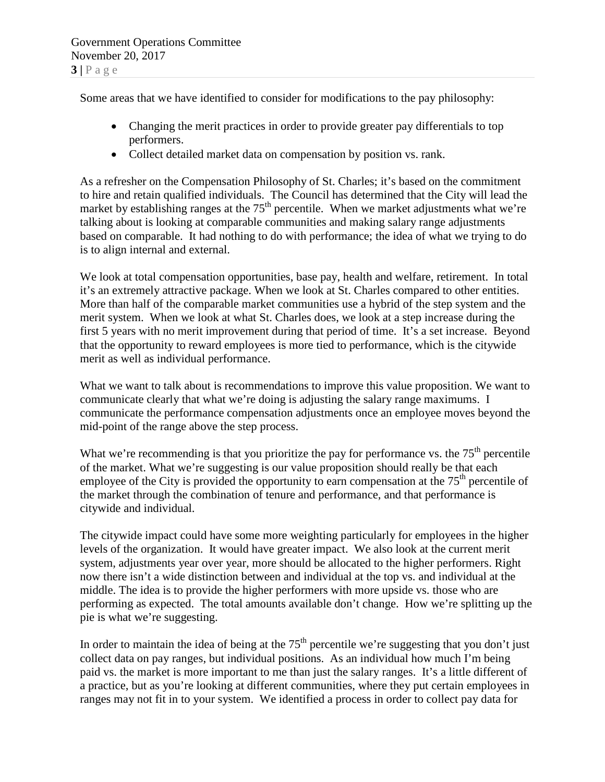Some areas that we have identified to consider for modifications to the pay philosophy:

- Changing the merit practices in order to provide greater pay differentials to top performers.
- Collect detailed market data on compensation by position vs. rank.

As a refresher on the Compensation Philosophy of St. Charles; it's based on the commitment to hire and retain qualified individuals. The Council has determined that the City will lead the market by establishing ranges at the  $75<sup>th</sup>$  percentile. When we market adjustments what we're talking about is looking at comparable communities and making salary range adjustments based on comparable. It had nothing to do with performance; the idea of what we trying to do is to align internal and external.

We look at total compensation opportunities, base pay, health and welfare, retirement. In total it's an extremely attractive package. When we look at St. Charles compared to other entities. More than half of the comparable market communities use a hybrid of the step system and the merit system. When we look at what St. Charles does, we look at a step increase during the first 5 years with no merit improvement during that period of time. It's a set increase. Beyond that the opportunity to reward employees is more tied to performance, which is the citywide merit as well as individual performance.

What we want to talk about is recommendations to improve this value proposition. We want to communicate clearly that what we're doing is adjusting the salary range maximums. I communicate the performance compensation adjustments once an employee moves beyond the mid-point of the range above the step process.

What we're recommending is that you prioritize the pay for performance vs. the  $75<sup>th</sup>$  percentile of the market. What we're suggesting is our value proposition should really be that each employee of the City is provided the opportunity to earn compensation at the  $75<sup>th</sup>$  percentile of the market through the combination of tenure and performance, and that performance is citywide and individual.

The citywide impact could have some more weighting particularly for employees in the higher levels of the organization. It would have greater impact. We also look at the current merit system, adjustments year over year, more should be allocated to the higher performers. Right now there isn't a wide distinction between and individual at the top vs. and individual at the middle. The idea is to provide the higher performers with more upside vs. those who are performing as expected. The total amounts available don't change. How we're splitting up the pie is what we're suggesting.

In order to maintain the idea of being at the  $75<sup>th</sup>$  percentile we're suggesting that you don't just collect data on pay ranges, but individual positions. As an individual how much I'm being paid vs. the market is more important to me than just the salary ranges. It's a little different of a practice, but as you're looking at different communities, where they put certain employees in ranges may not fit in to your system. We identified a process in order to collect pay data for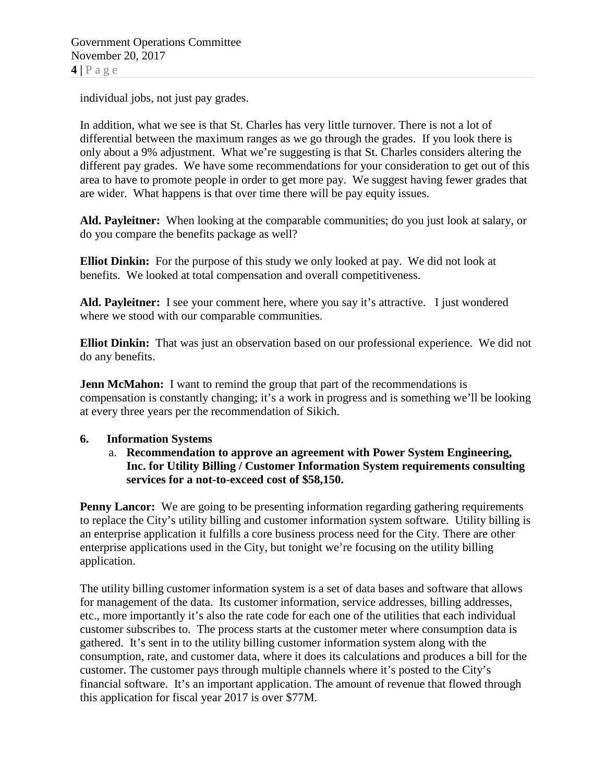individual jobs, not just pay grades.

In addition, what we see is that St. Charles has very little turnover. There is not a lot of differential between the maximum ranges as we go through the grades. If you look there is only about a 9% adjustment. What we're suggesting is that St. Charles considers altering the different pay grades. We have some recommendations for your consideration to get out of this area to have to promote people in order to get more pay. We suggest having fewer grades that are wider. What happens is that over time there will be pay equity issues.

**Ald. Payleitner:** When looking at the comparable communities; do you just look at salary, or do you compare the benefits package as well?

**Elliot Dinkin:** For the purpose of this study we only looked at pay. We did not look at benefits. We looked at total compensation and overall competitiveness.

**Ald. Payleitner:** I see your comment here, where you say it's attractive. I just wondered where we stood with our comparable communities.

**Elliot Dinkin:** That was just an observation based on our professional experience. We did not do any benefits.

**Jenn McMahon:** I want to remind the group that part of the recommendations is compensation is constantly changing; it's a work in progress and is something we'll be looking at every three years per the recommendation of Sikich.

### **6. Information Systems**

## a. **Recommendation to approve an agreement with Power System Engineering, Inc. for Utility Billing / Customer Information System requirements consulting services for a not-to-exceed cost of \$58,150.**

**Penny Lancor:** We are going to be presenting information regarding gathering requirements to replace the City's utility billing and customer information system software. Utility billing is an enterprise application it fulfills a core business process need for the City. There are other enterprise applications used in the City, but tonight we're focusing on the utility billing application.

The utility billing customer information system is a set of data bases and software that allows for management of the data. Its customer information, service addresses, billing addresses, etc., more importantly it's also the rate code for each one of the utilities that each individual customer subscribes to. The process starts at the customer meter where consumption data is gathered. It's sent in to the utility billing customer information system along with the consumption, rate, and customer data, where it does its calculations and produces a bill for the customer. The customer pays through multiple channels where it's posted to the City's financial software. It's an important application. The amount of revenue that flowed through this application for fiscal year 2017 is over \$77M.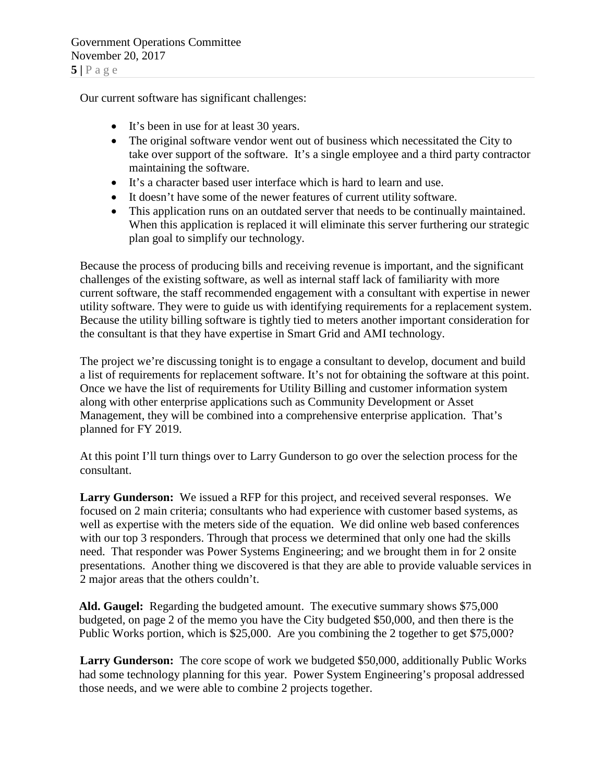Our current software has significant challenges:

- It's been in use for at least 30 years.
- The original software vendor went out of business which necessitated the City to take over support of the software. It's a single employee and a third party contractor maintaining the software.
- It's a character based user interface which is hard to learn and use.
- It doesn't have some of the newer features of current utility software.
- This application runs on an outdated server that needs to be continually maintained. When this application is replaced it will eliminate this server furthering our strategic plan goal to simplify our technology.

Because the process of producing bills and receiving revenue is important, and the significant challenges of the existing software, as well as internal staff lack of familiarity with more current software, the staff recommended engagement with a consultant with expertise in newer utility software. They were to guide us with identifying requirements for a replacement system. Because the utility billing software is tightly tied to meters another important consideration for the consultant is that they have expertise in Smart Grid and AMI technology.

The project we're discussing tonight is to engage a consultant to develop, document and build a list of requirements for replacement software. It's not for obtaining the software at this point. Once we have the list of requirements for Utility Billing and customer information system along with other enterprise applications such as Community Development or Asset Management, they will be combined into a comprehensive enterprise application. That's planned for FY 2019.

At this point I'll turn things over to Larry Gunderson to go over the selection process for the consultant.

**Larry Gunderson:** We issued a RFP for this project, and received several responses. We focused on 2 main criteria; consultants who had experience with customer based systems, as well as expertise with the meters side of the equation. We did online web based conferences with our top 3 responders. Through that process we determined that only one had the skills need. That responder was Power Systems Engineering; and we brought them in for 2 onsite presentations. Another thing we discovered is that they are able to provide valuable services in 2 major areas that the others couldn't.

**Ald. Gaugel:** Regarding the budgeted amount. The executive summary shows \$75,000 budgeted, on page 2 of the memo you have the City budgeted \$50,000, and then there is the Public Works portion, which is \$25,000. Are you combining the 2 together to get \$75,000?

**Larry Gunderson:** The core scope of work we budgeted \$50,000, additionally Public Works had some technology planning for this year. Power System Engineering's proposal addressed those needs, and we were able to combine 2 projects together.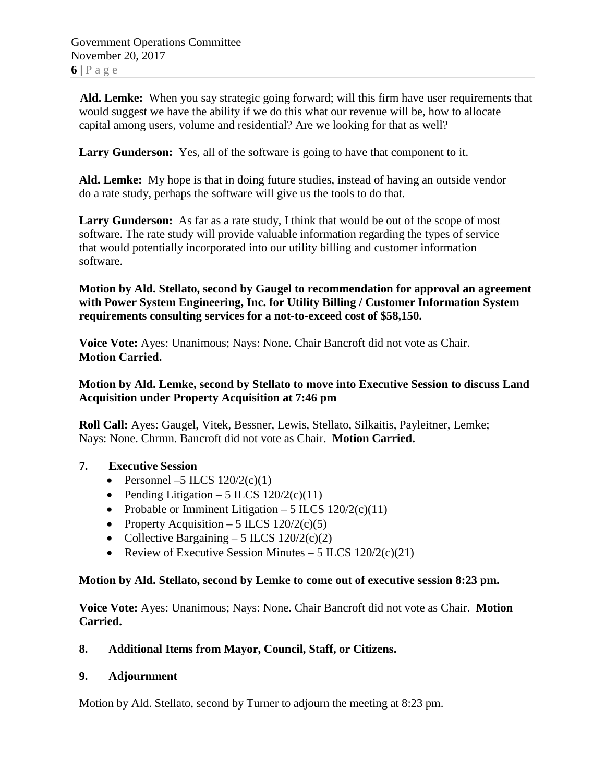Government Operations Committee November 20, 2017  $6|P$ age

**Ald. Lemke:** When you say strategic going forward; will this firm have user requirements that would suggest we have the ability if we do this what our revenue will be, how to allocate capital among users, volume and residential? Are we looking for that as well?

**Larry Gunderson:** Yes, all of the software is going to have that component to it.

**Ald. Lemke:** My hope is that in doing future studies, instead of having an outside vendor do a rate study, perhaps the software will give us the tools to do that.

**Larry Gunderson:** As far as a rate study, I think that would be out of the scope of most software. The rate study will provide valuable information regarding the types of service that would potentially incorporated into our utility billing and customer information software.

**Motion by Ald. Stellato, second by Gaugel to recommendation for approval an agreement with Power System Engineering, Inc. for Utility Billing / Customer Information System requirements consulting services for a not-to-exceed cost of \$58,150.**

**Voice Vote:** Ayes: Unanimous; Nays: None. Chair Bancroft did not vote as Chair. **Motion Carried.**

### **Motion by Ald. Lemke, second by Stellato to move into Executive Session to discuss Land Acquisition under Property Acquisition at 7:46 pm**

**Roll Call:** Ayes: Gaugel, Vitek, Bessner, Lewis, Stellato, Silkaitis, Payleitner, Lemke; Nays: None. Chrmn. Bancroft did not vote as Chair. **Motion Carried.**

### **7. Executive Session**

- Personnel –5 ILCS  $120/2(c)(1)$
- Pending Litigation 5 ILCS  $120/2(c)(11)$
- Probable or Imminent Litigation 5 ILCS  $120/2(c)(11)$
- Property Acquisition 5 ILCS  $120/2(c)(5)$
- Collective Bargaining 5 ILCS  $120/2(c)(2)$
- Review of Executive Session Minutes 5 ILCS  $120/2(c)(21)$

### **Motion by Ald. Stellato, second by Lemke to come out of executive session 8:23 pm.**

**Voice Vote:** Ayes: Unanimous; Nays: None. Chair Bancroft did not vote as Chair. **Motion Carried.**

## **8. Additional Items from Mayor, Council, Staff, or Citizens.**

## **9. Adjournment**

Motion by Ald. Stellato, second by Turner to adjourn the meeting at 8:23 pm.